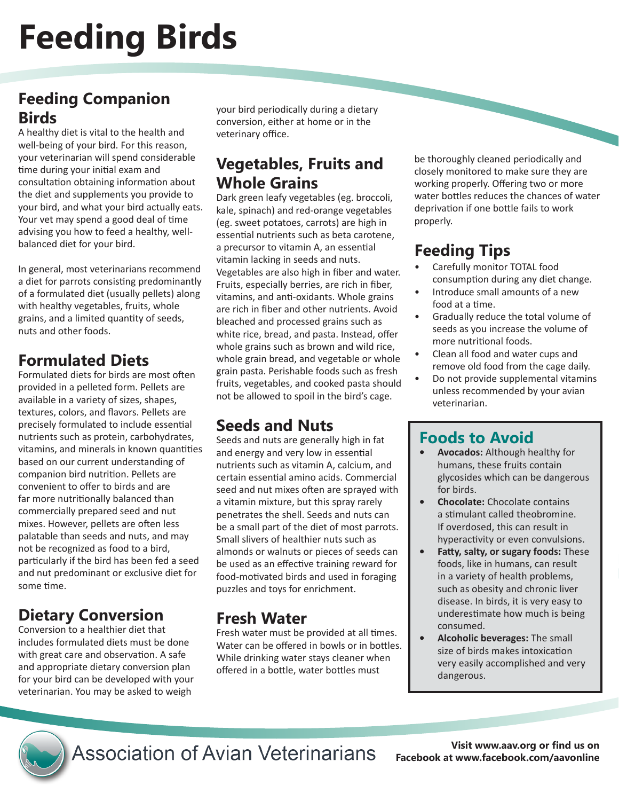# **Feeding Birds**

#### **Feeding Companion Birds**

A healthy diet is vital to the health and well-being of your bird. For this reason, your veterinarian will spend considerable time during your initial exam and consultation obtaining information about the diet and supplements you provide to your bird, and what your bird actually eats. Your vet may spend a good deal of time advising you how to feed a healthy, wellbalanced diet for your bird.

In general, most veterinarians recommend a diet for parrots consisting predominantly of a formulated diet (usually pellets) along with healthy vegetables, fruits, whole grains, and a limited quantity of seeds, nuts and other foods.

#### **Formulated Diets**

Formulated diets for birds are most often provided in a pelleted form. Pellets are available in a variety of sizes, shapes, textures, colors, and flavors. Pellets are precisely formulated to include essential nutrients such as protein, carbohydrates, vitamins, and minerals in known quantities based on our current understanding of companion bird nutrition. Pellets are convenient to offer to birds and are far more nutritionally balanced than commercially prepared seed and nut mixes. However, pellets are often less palatable than seeds and nuts, and may not be recognized as food to a bird, particularly if the bird has been fed a seed and nut predominant or exclusive diet for some time.

# **Dietary Conversion**

Conversion to a healthier diet that includes formulated diets must be done with great care and observation. A safe and appropriate dietary conversion plan for your bird can be developed with your veterinarian. You may be asked to weigh

your bird periodically during a dietary conversion, either at home or in the veterinary office.

#### **Vegetables, Fruits and Whole Grains**

Dark green leafy vegetables (eg. broccoli, kale, spinach) and red-orange vegetables (eg. sweet potatoes, carrots) are high in essential nutrients such as beta carotene, a precursor to vitamin A, an essential vitamin lacking in seeds and nuts. Vegetables are also high in fiber and water. Fruits, especially berries, are rich in fiber, vitamins, and anti-oxidants. Whole grains are rich in fiber and other nutrients. Avoid bleached and processed grains such as white rice, bread, and pasta. Instead, offer whole grains such as brown and wild rice, whole grain bread, and vegetable or whole grain pasta. Perishable foods such as fresh fruits, vegetables, and cooked pasta should not be allowed to spoil in the bird's cage.

## **Seeds and Nuts**

Seeds and nuts are generally high in fat and energy and very low in essential nutrients such as vitamin A, calcium, and certain essential amino acids. Commercial seed and nut mixes often are sprayed with a vitamin mixture, but this spray rarely penetrates the shell. Seeds and nuts can be a small part of the diet of most parrots. Small slivers of healthier nuts such as almonds or walnuts or pieces of seeds can be used as an effective training reward for food-motivated birds and used in foraging puzzles and toys for enrichment.

#### **Fresh Water**

Fresh water must be provided at all times. Water can be offered in bowls or in bottles. While drinking water stays cleaner when offered in a bottle, water bottles must

be thoroughly cleaned periodically and closely monitored to make sure they are working properly. Offering two or more water bottles reduces the chances of water deprivation if one bottle fails to work properly.

# **Feeding Tips**

- Carefully monitor TOTAL food consumption during any diet change.
- Introduce small amounts of a new food at a time.
- Gradually reduce the total volume of seeds as you increase the volume of more nutritional foods.
- Clean all food and water cups and remove old food from the cage daily.
- Do not provide supplemental vitamins unless recommended by your avian veterinarian.

#### **Foods to Avoid**

- **Avocados:** Although healthy for humans, these fruits contain glycosides which can be dangerous for birds.
- **Chocolate:** Chocolate contains a stimulant called theobromine. If overdosed, this can result in hyperactivity or even convulsions.
- **• Fatty, salty, or sugary foods:** These foods, like in humans, can result in a variety of health problems, such as obesity and chronic liver disease. In birds, it is very easy to underestimate how much is being consumed.
- **Alcoholic beverages:** The small size of birds makes intoxication very easily accomplished and very dangerous.



**Association of Avian Veterinarians** 

**Visit www.aav.org or find us on Facebook at www.facebook.com/aavonline**